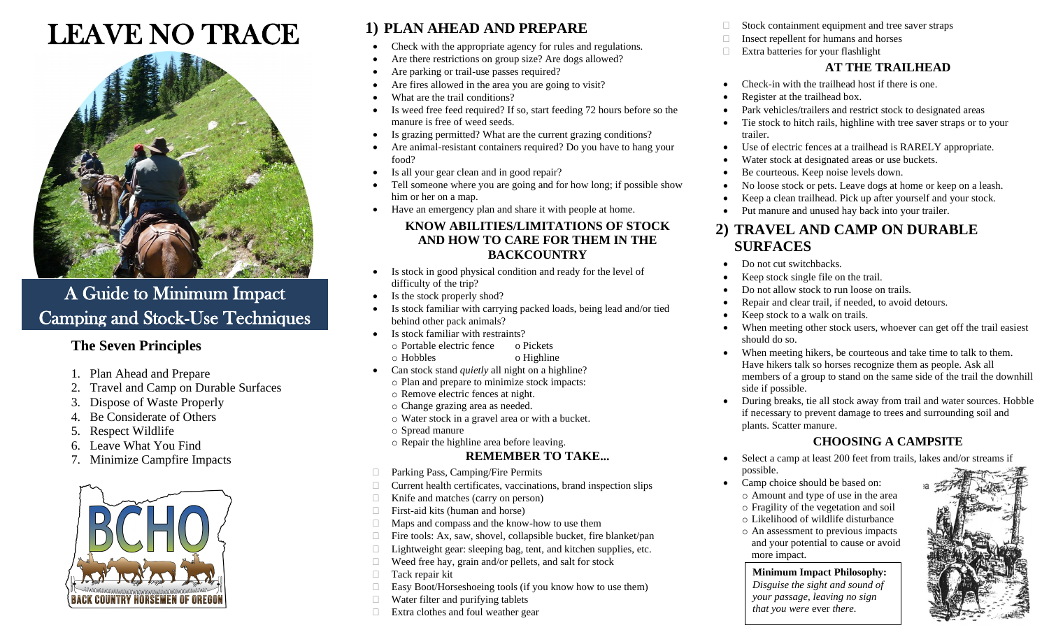# LEAVE NO TRACE



# A Guide to Minimum Impact Camping and Stock-Use Techniques

#### **The Seven Principles**

- 1. Plan Ahead and Prepare
- 2. Travel and Camp on Durable Surfaces
- 3. Dispose of Waste Properly
- 4. Be Considerate of Others
- 5. Respect Wildlife
- 6. Leave What You Find
- 7. Minimize Campfire Impacts



### **1) PLAN AHEAD AND PREPARE**

- Check with the appropriate agency for rules and regulations.
- Are there restrictions on group size? Are dogs allowed?
- Are parking or trail-use passes required?
- Are fires allowed in the area you are going to visit?
- What are the trail conditions?
- Is weed free feed required? If so, start feeding 72 hours before so the manure is free of weed seeds.
- Is grazing permitted? What are the current grazing conditions?
- Are animal-resistant containers required? Do you have to hang your food?
- Is all your gear clean and in good repair?
- Tell someone where you are going and for how long; if possible show him or her on a map.
- Have an emergency plan and share it with people at home.

#### **KNOW ABILITIES/LIMITATIONS OF STOCK AND HOW TO CARE FOR THEM IN THE BACKCOUNTRY**

- Is stock in good physical condition and ready for the level of difficulty of the trip?
- Is the stock properly shod?
- Is stock familiar with carrying packed loads, being lead and/or tied behind other pack animals?
- Is stock familiar with restraints?
	- o Portable electric fence o Pickets
	- o Hobbles o Highline
- Can stock stand *quietly* all night on a highline? o Plan and prepare to minimize stock impacts:
	- o Remove electric fences at night.
	- o Change grazing area as needed.
	- o Water stock in a gravel area or with a bucket.
	- o Spread manure
	- o Repair the highline area before leaving.

#### **REMEMBER TO TAKE...**

- □ Parking Pass, Camping/Fire Permits
- $\Box$  Current health certificates, vaccinations, brand inspection slips
- $\Box$  Knife and matches (carry on person)
- $\Box$  First-aid kits (human and horse)
- Maps and compass and the know-how to use them
- $\Box$  Fire tools: Ax, saw, shovel, collapsible bucket, fire blanket/pan
- $\Box$  Lightweight gear: sleeping bag, tent, and kitchen supplies, etc.
- $\Box$  Weed free hay, grain and/or pellets, and salt for stock
- **Tack repair kit**
- $\Box$  Easy Boot/Horseshoeing tools (if you know how to use them)
- $\Box$  Water filter and purifying tablets
- $\Box$  Extra clothes and foul weather gear
- $\Box$  Stock containment equipment and tree saver straps
- $\Box$  Insect repellent for humans and horses
- Extra batteries for your flashlight

#### **AT THE TRAILHEAD**

- Check-in with the trailhead host if there is one.
- Register at the trailhead box.
- Park vehicles/trailers and restrict stock to designated areas
- Tie stock to hitch rails, highline with tree saver straps or to your trailer.
- Use of electric fences at a trailhead is RARELY appropriate.
- Water stock at designated areas or use buckets.
- Be courteous. Keep noise levels down.
- No loose stock or pets. Leave dogs at home or keep on a leash.
	- Keep a clean trailhead. Pick up after yourself and your stock.
	- Put manure and unused hay back into your trailer.

#### **2) TRAVEL AND CAMP ON DURABLE SURFACES**

- Do not cut switchbacks.
- Keep stock single file on the trail.
- Do not allow stock to run loose on trails.
- Repair and clear trail, if needed, to avoid detours.
- Keep stock to a walk on trails.
- When meeting other stock users, whoever can get off the trail easiest should do so.
- When meeting hikers, be courteous and take time to talk to them. Have hikers talk so horses recognize them as people. Ask all members of a group to stand on the same side of the trail the downhill side if possible.
- During breaks, tie all stock away from trail and water sources. Hobble if necessary to prevent damage to trees and surrounding soil and plants. Scatter manure.

#### **CHOOSING A CAMPSITE**

- Select a camp at least 200 feet from trails, lakes and/or streams if possible.
- Camp choice should be based on:
	- o Amount and type of use in the area o Fragility of the vegetation and soil
	- o Likelihood of wildlife disturbance
	- o An assessment to previous impacts and your potential to cause or avoid more impact.

#### **Minimum Impact Philosophy:**

*Disguise the sight and sound of your passage, leaving no sign that you were* ever *there.*